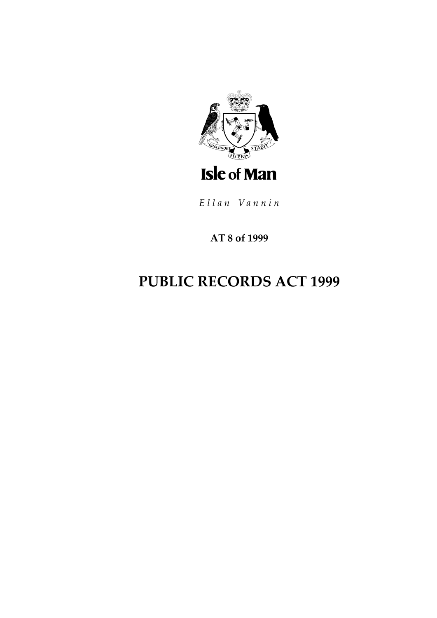

Ellan Vannin

AT 8 of 1999

# **PUBLIC RECORDS ACT 1999**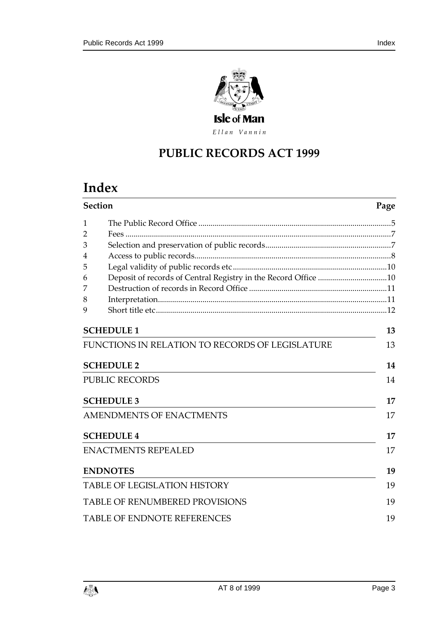

Ellan Vannin

## **PUBLIC RECORDS ACT 1 999**

## **Index**

| <b>Section</b> |                                                 | Page |  |
|----------------|-------------------------------------------------|------|--|
| 1              |                                                 |      |  |
| 2              |                                                 |      |  |
| 3              |                                                 |      |  |
| 4              |                                                 |      |  |
| 5              |                                                 |      |  |
| 6              |                                                 |      |  |
| 7              |                                                 |      |  |
| 8              |                                                 |      |  |
| 9              |                                                 |      |  |
|                | <b>SCHEDULE 1</b>                               | 13   |  |
|                | FUNCTIONS IN RELATION TO RECORDS OF LEGISLATURE | 13   |  |
|                | <b>SCHEDULE 2</b>                               | 14   |  |
|                | <b>PUBLIC RECORDS</b>                           | 14   |  |
|                | <b>SCHEDULE 3</b>                               | 17   |  |
|                | <b>AMENDMENTS OF ENACTMENTS</b>                 | 17   |  |
|                | <b>SCHEDULE 4</b>                               | 17   |  |
|                | <b>ENACTMENTS REPEALED</b>                      | 17   |  |
|                | <b>ENDNOTES</b>                                 | 19   |  |
|                | <b>TABLE OF LEGISLATION HISTORY</b>             | 19   |  |
|                | <b>TABLE OF RENUMBERED PROVISIONS</b>           | 19   |  |
|                | <b>TABLE OF ENDNOTE REFERENCES</b>              | 19   |  |

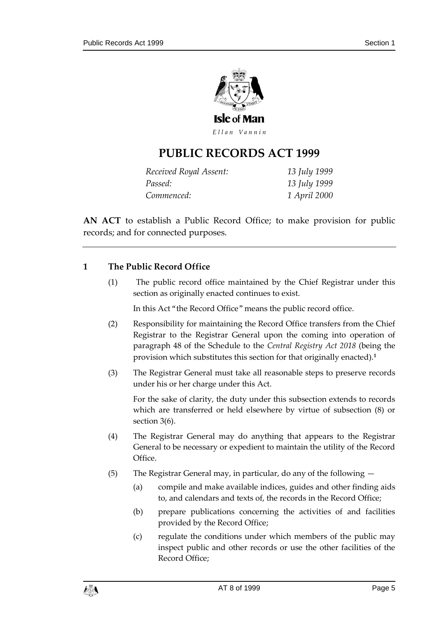

Ellan Vannin

## **PUBLIC RECORDS ACT 1 999**

| Received Royal Assent: | 13 July 1999        |
|------------------------|---------------------|
| Passed:                | 13 July 1999        |
| Commenced:             | 1 <i>April</i> 2000 |

**AN ACT** to establish a Public Record Office; to make provision for public records; and for connected purposes.

#### <span id="page-4-0"></span>**1 The Public Record Office**

(1) The public record office maintained by the Chief Registrar under this section as originally enacted continues to exist.

In this Act "the Record Office" means the public record office.

- (2) Responsibility for maintaining the Record Office transfers from the Chief Registrar to the Registrar General upon the coming into operation of paragraph 48 of the Schedule to the *Central Registry Act 2018* (being the provision which substitutes this section for that originally enacted).**<sup>1</sup>**
- (3) The Registrar General must take all reasonable steps to preserve records under his or her charge under this Act.

For the sake of clarity, the duty under this subsection extends to records which are transferred or held elsewhere by virtue of subsection (8) or section 3(6).

- (4) The Registrar General may do anything that appears to the Registrar General to be necessary or expedient to maintain the utility of the Record Office.
- (5) The Registrar General may, in particular, do any of the following
	- (a) compile and make available indices, guides and other finding aids to, and calendars and texts of, the records in the Record Office;
	- (b) prepare publications concerning the activities of and facilities provided by the Record Office;
	- (c) regulate the conditions under which members of the public may inspect public and other records or use the other facilities of the Record Office;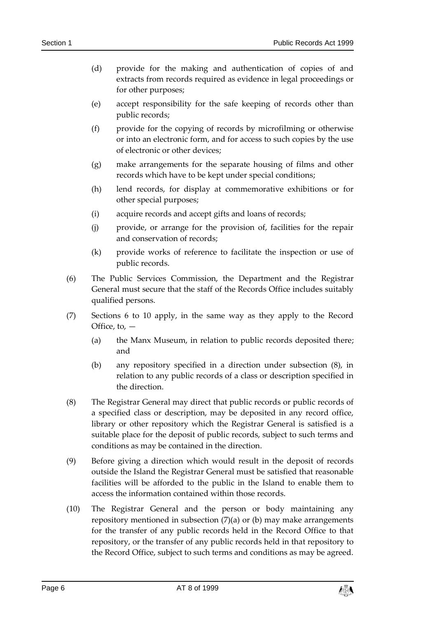- (d) provide for the making and authentication of copies of and extracts from records required as evidence in legal proceedings or for other purposes;
- (e) accept responsibility for the safe keeping of records other than public records;
- (f) provide for the copying of records by microfilming or otherwise or into an electronic form, and for access to such copies by the use of electronic or other devices;
- (g) make arrangements for the separate housing of films and other records which have to be kept under special conditions;
- (h) lend records, for display at commemorative exhibitions or for other special purposes;
- (i) acquire records and accept gifts and loans of records;
- (j) provide, or arrange for the provision of, facilities for the repair and conservation of records;
- (k) provide works of reference to facilitate the inspection or use of public records.
- (6) The Public Services Commission, the Department and the Registrar General must secure that the staff of the Records Office includes suitably qualified persons.
- (7) Sections 6 to 10 apply, in the same way as they apply to the Record Office, to,  $-$ 
	- (a) the Manx Museum, in relation to public records deposited there; and
	- (b) any repository specified in a direction under subsection (8), in relation to any public records of a class or description specified in the direction.
- (8) The Registrar General may direct that public records or public records of a specified class or description, may be deposited in any record office, library or other repository which the Registrar General is satisfied is a suitable place for the deposit of public records, subject to such terms and conditions as may be contained in the direction.
- (9) Before giving a direction which would result in the deposit of records outside the Island the Registrar General must be satisfied that reasonable facilities will be afforded to the public in the Island to enable them to access the information contained within those records.
- (10) The Registrar General and the person or body maintaining any repository mentioned in subsection  $(7)(a)$  or  $(b)$  may make arrangements for the transfer of any public records held in the Record Office to that repository, or the transfer of any public records held in that repository to the Record Office, subject to such terms and conditions as may be agreed.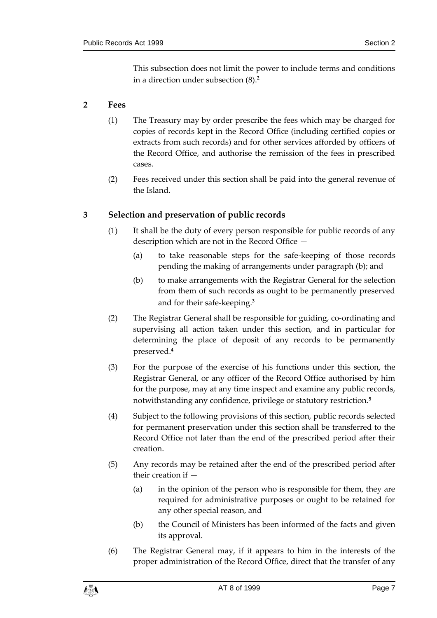This subsection does not limit the power to include terms and conditions in a direction under subsection (8).**<sup>2</sup>**

#### <span id="page-6-0"></span>**2 Fees**

- (1) The Treasury may by order prescribe the fees which may be charged for copies of records kept in the Record Office (including certified copies or extracts from such records) and for other services afforded by officers of the Record Office, and authorise the remission of the fees in prescribed cases.
- (2) Fees received under this section shall be paid into the general revenue of the Island.

#### <span id="page-6-1"></span>**3 Selection and preservation of public records**

- (1) It shall be the duty of every person responsible for public records of any description which are not in the Record Office —
	- (a) to take reasonable steps for the safe-keeping of those records pending the making of arrangements under paragraph (b); and
	- (b) to make arrangements with the Registrar General for the selection from them of such records as ought to be permanently preserved and for their safe-keeping.**<sup>3</sup>**
- (2) The Registrar General shall be responsible for guiding, co-ordinating and supervising all action taken under this section, and in particular for determining the place of deposit of any records to be permanently preserved.**<sup>4</sup>**
- (3) For the purpose of the exercise of his functions under this section, the Registrar General, or any officer of the Record Office authorised by him for the purpose, may at any time inspect and examine any public records, notwithstanding any confidence, privilege or statutory restriction.**<sup>5</sup>**
- (4) Subject to the following provisions of this section, public records selected for permanent preservation under this section shall be transferred to the Record Office not later than the end of the prescribed period after their creation.
- (5) Any records may be retained after the end of the prescribed period after their creation if —
	- (a) in the opinion of the person who is responsible for them, they are required for administrative purposes or ought to be retained for any other special reason, and
	- (b) the Council of Ministers has been informed of the facts and given its approval.
- (6) The Registrar General may, if it appears to him in the interests of the proper administration of the Record Office, direct that the transfer of any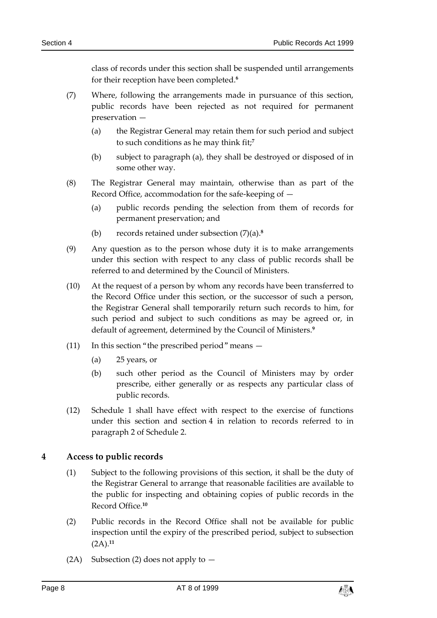class of records under this section shall be suspended until arrangements for their reception have been completed.**<sup>6</sup>**

- (7) Where, following the arrangements made in pursuance of this section, public records have been rejected as not required for permanent preservation —
	- (a) the Registrar General may retain them for such period and subject to such conditions as he may think fit;**<sup>7</sup>**
	- (b) subject to paragraph (a), they shall be destroyed or disposed of in some other way.
- (8) The Registrar General may maintain, otherwise than as part of the Record Office, accommodation for the safe-keeping of —
	- (a) public records pending the selection from them of records for permanent preservation; and
	- (b) records retained under subsection (7)(a).**<sup>8</sup>**
- (9) Any question as to the person whose duty it is to make arrangements under this section with respect to any class of public records shall be referred to and determined by the Council of Ministers.
- (10) At the request of a person by whom any records have been transferred to the Record Office under this section, or the successor of such a person, the Registrar General shall temporarily return such records to him, for such period and subject to such conditions as may be agreed or, in default of agreement, determined by the Council of Ministers.**<sup>9</sup>**
- (11) In this section "the prescribed period" means  $-$ 
	- (a) 25 years, or
	- (b) such other period as the Council of Ministers may by order prescribe, either generally or as respects any particular class of public records.
- (12) Schedule 1 shall have effect with respect to the exercise of functions under this section and section 4 in relation to records referred to in paragraph 2 of Schedule 2.

#### <span id="page-7-0"></span>**4 Access to public records**

- (1) Subject to the following provisions of this section, it shall be the duty of the Registrar General to arrange that reasonable facilities are available to the public for inspecting and obtaining copies of public records in the Record Office.**<sup>10</sup>**
- (2) Public records in the Record Office shall not be available for public inspection until the expiry of the prescribed period, subject to subsection (2A).**<sup>11</sup>**
- (2A) Subsection (2) does not apply to  $-$

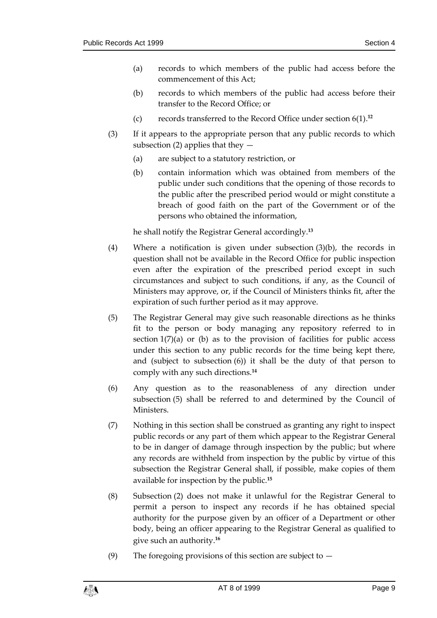- (a) records to which members of the public had access before the commencement of this Act;
- (b) records to which members of the public had access before their transfer to the Record Office; or
- (c) records transferred to the Record Office under section 6(1). **12**
- (3) If it appears to the appropriate person that any public records to which subsection (2) applies that they  $-$ 
	- (a) are subject to a statutory restriction, or
	- (b) contain information which was obtained from members of the public under such conditions that the opening of those records to the public after the prescribed period would or might constitute a breach of good faith on the part of the Government or of the persons who obtained the information,

he shall notify the Registrar General accordingly.**<sup>13</sup>**

- (4) Where a notification is given under subsection (3)(b), the records in question shall not be available in the Record Office for public inspection even after the expiration of the prescribed period except in such circumstances and subject to such conditions, if any, as the Council of Ministers may approve, or, if the Council of Ministers thinks fit, after the expiration of such further period as it may approve.
- (5) The Registrar General may give such reasonable directions as he thinks fit to the person or body managing any repository referred to in section  $1(7)(a)$  or (b) as to the provision of facilities for public access under this section to any public records for the time being kept there, and (subject to subsection (6)) it shall be the duty of that person to comply with any such directions.**<sup>14</sup>**
- (6) Any question as to the reasonableness of any direction under subsection (5) shall be referred to and determined by the Council of Ministers.
- (7) Nothing in this section shall be construed as granting any right to inspect public records or any part of them which appear to the Registrar General to be in danger of damage through inspection by the public; but where any records are withheld from inspection by the public by virtue of this subsection the Registrar General shall, if possible, make copies of them available for inspection by the public.**<sup>15</sup>**
- (8) Subsection (2) does not make it unlawful for the Registrar General to permit a person to inspect any records if he has obtained special authority for the purpose given by an officer of a Department or other body, being an officer appearing to the Registrar General as qualified to give such an authority.**<sup>16</sup>**
- (9) The foregoing provisions of this section are subject to  $-$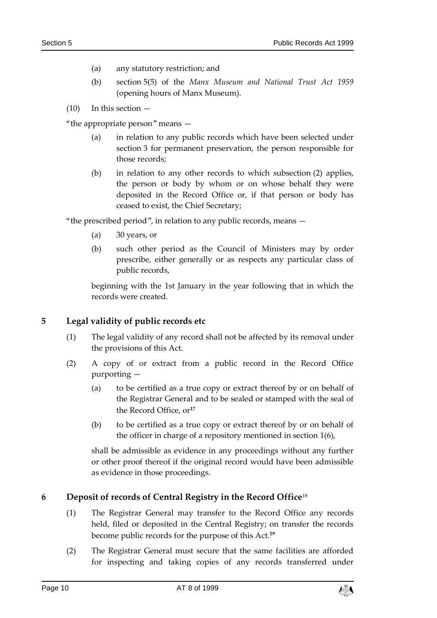- (a) any statutory restriction; and
- (b) section 5(5) of the *Manx Museum and National Trust Act 1959* (opening hours of Manx Museum).
- $(10)$  In this section  $-$

"the appropriate person" means —

- (a) in relation to any public records which have been selected under section 3 for permanent preservation, the person responsible for those records;
- (b) in relation to any other records to which subsection (2) applies, the person or body by whom or on whose behalf they were deposited in the Record Office or, if that person or body has ceased to exist, the Chief Secretary;

"the prescribed period", in relation to any public records, means —

- (a) 30 years, or
- (b) such other period as the Council of Ministers may by order prescribe, either generally or as respects any particular class of public records,

beginning with the 1st January in the year following that in which the records were created.

#### <span id="page-9-0"></span>**5 Legal validity of public records etc**

- (1) The legal validity of any record shall not be affected by its removal under the provisions of this Act.
- (2) A copy of or extract from a public record in the Record Office purporting —
	- (a) to be certified as a true copy or extract thereof by or on behalf of the Registrar General and to be sealed or stamped with the seal of the Record Office, or**<sup>17</sup>**
	- (b) to be certified as a true copy or extract thereof by or on behalf of the officer in charge of a repository mentioned in section 1(6),

shall be admissible as evidence in any proceedings without any further or other proof thereof if the original record would have been admissible as evidence in those proceedings.

#### <span id="page-9-1"></span>**6 Deposit of records of Central Registry in the Record Office**<sup>18</sup>

- (1) The Registrar General may transfer to the Record Office any records held, filed or deposited in the Central Registry; on transfer the records become public records for the purpose of this Act.**<sup>19</sup>**
- (2) The Registrar General must secure that the same facilities are afforded for inspecting and taking copies of any records transferred under

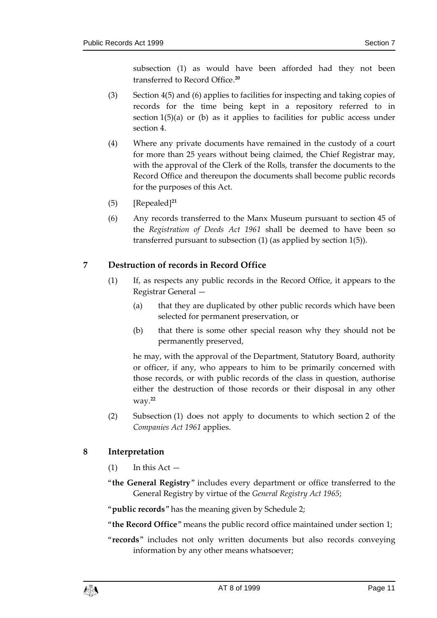subsection (1) as would have been afforded had they not been transferred to Record Office. **20**

- (3) Section 4(5) and (6) applies to facilities for inspecting and taking copies of records for the time being kept in a repository referred to in section 1(5)(a) or (b) as it applies to facilities for public access under section 4.
- (4) Where any private documents have remained in the custody of a court for more than 25 years without being claimed, the Chief Registrar may, with the approval of the Clerk of the Rolls, transfer the documents to the Record Office and thereupon the documents shall become public records for the purposes of this Act.
- (5) [Repealed]**<sup>21</sup>**
- (6) Any records transferred to the Manx Museum pursuant to section 45 of the *Registration of Deeds Act 1961* shall be deemed to have been so transferred pursuant to subsection (1) (as applied by section 1(5)).

#### <span id="page-10-0"></span>**7 Destruction of records in Record Office**

- (1) If, as respects any public records in the Record Office, it appears to the Registrar General —
	- (a) that they are duplicated by other public records which have been selected for permanent preservation, or
	- (b) that there is some other special reason why they should not be permanently preserved,

he may, with the approval of the Department, Statutory Board, authority or officer, if any, who appears to him to be primarily concerned with those records, or with public records of the class in question, authorise either the destruction of those records or their disposal in any other way.**<sup>22</sup>**

(2) Subsection (1) does not apply to documents to which section 2 of the *Companies Act 1961* applies.

#### <span id="page-10-1"></span>**8 Interpretation**

- $(1)$  In this Act —
- "**the General Registry**" includes every department or office transferred to the General Registry by virtue of the *General Registry Act 1965*;

"**public records**" has the meaning given by Schedule 2;

"**the Record Office**" means the public record office maintained under section 1;

"**records**" includes not only written documents but also records conveying information by any other means whatsoever;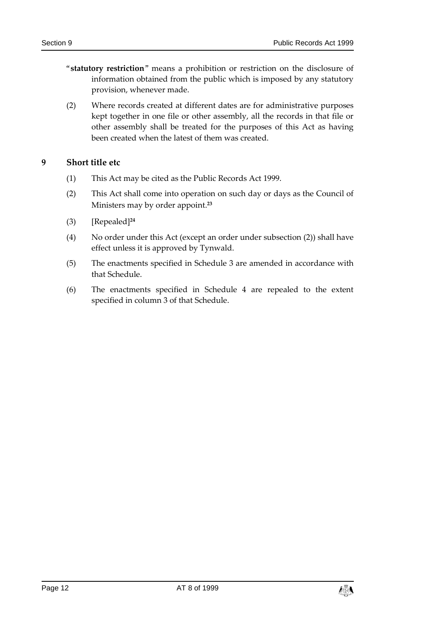- "**statutory restriction**" means a prohibition or restriction on the disclosure of information obtained from the public which is imposed by any statutory provision, whenever made.
- (2) Where records created at different dates are for administrative purposes kept together in one file or other assembly, all the records in that file or other assembly shall be treated for the purposes of this Act as having been created when the latest of them was created.

#### <span id="page-11-0"></span>**9 Short title etc**

- (1) This Act may be cited as the Public Records Act 1999.
- (2) This Act shall come into operation on such day or days as the Council of Ministers may by order appoint.**<sup>23</sup>**
- (3) [Repealed]**<sup>24</sup>**
- (4) No order under this Act (except an order under subsection (2)) shall have effect unless it is approved by Tynwald.
- (5) The enactments specified in Schedule 3 are amended in accordance with that Schedule.
- (6) The enactments specified in Schedule 4 are repealed to the extent specified in column 3 of that Schedule.

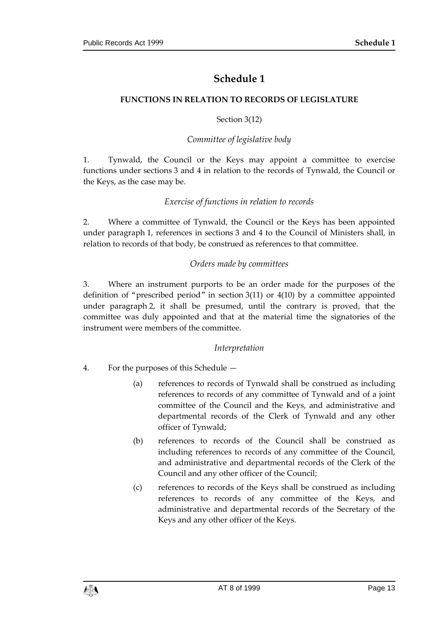### **Schedule 1**

#### <span id="page-12-1"></span><span id="page-12-0"></span>**FUNCTIONS IN RELATION TO RECORDS OF LEGISLATURE**

#### Section 3(12)

#### *Committee of legislative body*

1. Tynwald, the Council or the Keys may appoint a committee to exercise functions under sections 3 and 4 in relation to the records of Tynwald, the Council or the Keys, as the case may be.

#### *Exercise of functions in relation to records*

2. Where a committee of Tynwald, the Council or the Keys has been appointed under paragraph 1, references in sections 3 and 4 to the Council of Ministers shall, in relation to records of that body, be construed as references to that committee.

#### *Orders made by committees*

3. Where an instrument purports to be an order made for the purposes of the definition of "prescribed period" in section 3(11) or 4(10) by a committee appointed under paragraph 2, it shall be presumed, until the contrary is proved, that the committee was duly appointed and that at the material time the signatories of the instrument were members of the committee.

#### *Interpretation*

- 4. For the purposes of this Schedule
	- (a) references to records of Tynwald shall be construed as including references to records of any committee of Tynwald and of a joint committee of the Council and the Keys, and administrative and departmental records of the Clerk of Tynwald and any other officer of Tynwald;
	- (b) references to records of the Council shall be construed as including references to records of any committee of the Council, and administrative and departmental records of the Clerk of the Council and any other officer of the Council;
	- (c) references to records of the Keys shall be construed as including references to records of any committee of the Keys, and administrative and departmental records of the Secretary of the Keys and any other officer of the Keys.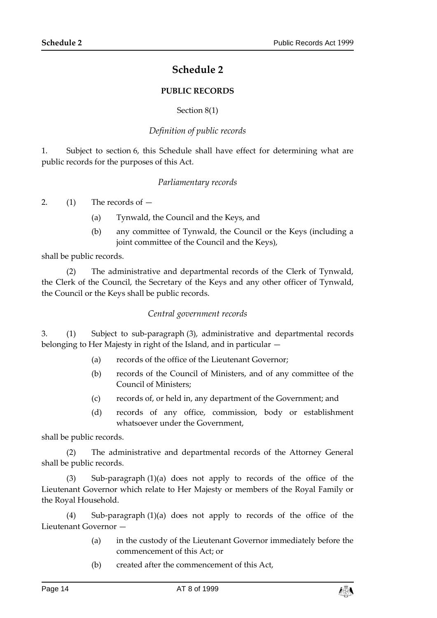### **Schedule 2**

#### **PUBLIC RECORDS**

#### Section 8(1)

#### *Definition of public records*

<span id="page-13-1"></span><span id="page-13-0"></span>1. Subject to section 6, this Schedule shall have effect for determining what are public records for the purposes of this Act.

#### *Parliamentary records*

2.  $(1)$  The records of  $-$ 

- (a) Tynwald, the Council and the Keys, and
- (b) any committee of Tynwald, the Council or the Keys (including a joint committee of the Council and the Keys),

shall be public records.

(2) The administrative and departmental records of the Clerk of Tynwald, the Clerk of the Council, the Secretary of the Keys and any other officer of Tynwald, the Council or the Keys shall be public records.

#### *Central government records*

3. (1) Subject to sub-paragraph (3), administrative and departmental records belonging to Her Majesty in right of the Island, and in particular —

- (a) records of the office of the Lieutenant Governor;
- (b) records of the Council of Ministers, and of any committee of the Council of Ministers;
- (c) records of, or held in, any department of the Government; and
- (d) records of any office, commission, body or establishment whatsoever under the Government,

shall be public records.

(2) The administrative and departmental records of the Attorney General shall be public records.

(3) Sub-paragraph (1)(a) does not apply to records of the office of the Lieutenant Governor which relate to Her Majesty or members of the Royal Family or the Royal Household.

(4) Sub-paragraph (1)(a) does not apply to records of the office of the Lieutenant Governor —

- (a) in the custody of the Lieutenant Governor immediately before the commencement of this Act; or
- (b) created after the commencement of this Act,

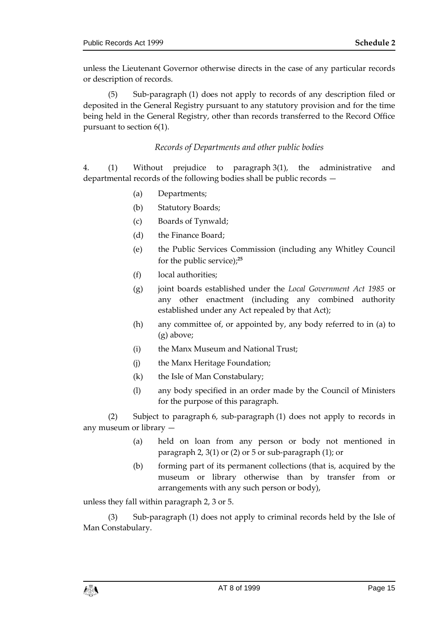unless the Lieutenant Governor otherwise directs in the case of any particular records or description of records.

(5) Sub-paragraph (1) does not apply to records of any description filed or deposited in the General Registry pursuant to any statutory provision and for the time being held in the General Registry, other than records transferred to the Record Office pursuant to section 6(1).

#### *Records of Departments and other public bodies*

4. (1) Without prejudice to paragraph 3(1), the administrative and departmental records of the following bodies shall be public records —

- (a) Departments;
- (b) Statutory Boards;
- (c) Boards of Tynwald;
- (d) the Finance Board;
- (e) the Public Services Commission (including any Whitley Council for the public service);**<sup>25</sup>**
- (f) local authorities;
- (g) joint boards established under the *Local Government Act 1985* or any other enactment (including any combined authority established under any Act repealed by that Act);
- (h) any committee of, or appointed by, any body referred to in (a) to (g) above;
- (i) the Manx Museum and National Trust;
- (j) the Manx Heritage Foundation;
- (k) the Isle of Man Constabulary;
- (l) any body specified in an order made by the Council of Ministers for the purpose of this paragraph.

(2) Subject to paragraph 6, sub-paragraph (1) does not apply to records in any museum or library —

- (a) held on loan from any person or body not mentioned in paragraph 2, 3(1) or (2) or 5 or sub-paragraph (1); or
- (b) forming part of its permanent collections (that is, acquired by the museum or library otherwise than by transfer from or arrangements with any such person or body),

unless they fall within paragraph 2, 3 or 5.

(3) Sub-paragraph (1) does not apply to criminal records held by the Isle of Man Constabulary.

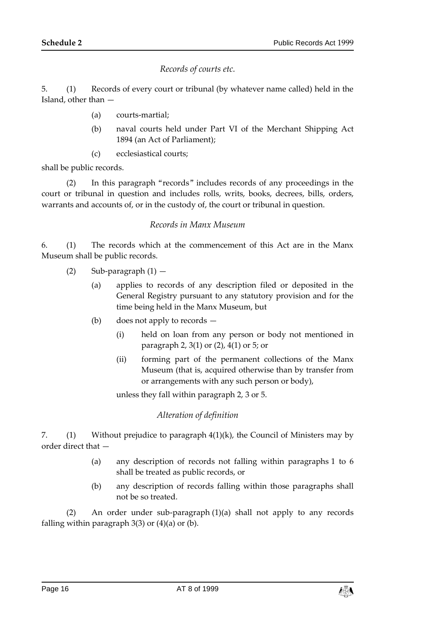#### *Records of courts etc.*

5. (1) Records of every court or tribunal (by whatever name called) held in the Island, other than —

- (a) courts-martial;
- (b) naval courts held under Part VI of the Merchant Shipping Act 1894 (an Act of Parliament);
- (c) ecclesiastical courts;

shall be public records.

(2) In this paragraph "records" includes records of any proceedings in the court or tribunal in question and includes rolls, writs, books, decrees, bills, orders, warrants and accounts of, or in the custody of, the court or tribunal in question.

#### *Records in Manx Museum*

6. (1) The records which at the commencement of this Act are in the Manx Museum shall be public records.

- $(2)$  Sub-paragraph  $(1)$ 
	- (a) applies to records of any description filed or deposited in the General Registry pursuant to any statutory provision and for the time being held in the Manx Museum, but
	- (b) does not apply to records
		- (i) held on loan from any person or body not mentioned in paragraph 2, 3(1) or (2), 4(1) or 5; or
		- (ii) forming part of the permanent collections of the Manx Museum (that is, acquired otherwise than by transfer from or arrangements with any such person or body),

unless they fall within paragraph 2, 3 or 5.

#### *Alteration of definition*

7. (1) Without prejudice to paragraph 4(1)(k), the Council of Ministers may by order direct that —

- (a) any description of records not falling within paragraphs 1 to 6 shall be treated as public records, or
- (b) any description of records falling within those paragraphs shall not be so treated.

(2) An order under sub-paragraph (1)(a) shall not apply to any records falling within paragraph  $3(3)$  or  $(4)(a)$  or  $(b)$ .

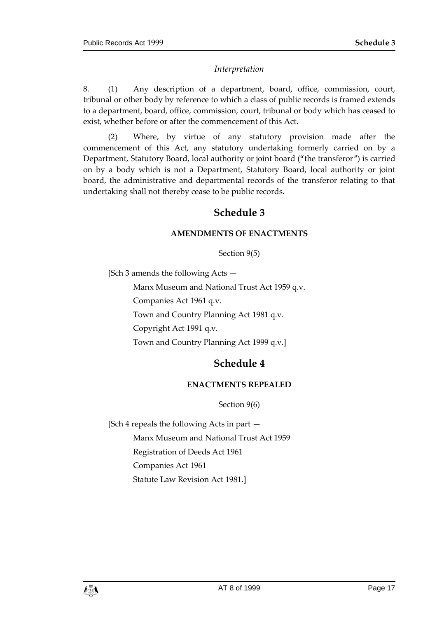#### *Interpretation*

8. (1) Any description of a department, board, office, commission, court, tribunal or other body by reference to which a class of public records is framed extends to a department, board, office, commission, court, tribunal or body which has ceased to exist, whether before or after the commencement of this Act.

<span id="page-16-0"></span>(2) Where, by virtue of any statutory provision made after the commencement of this Act, any statutory undertaking formerly carried on by a Department, Statutory Board, local authority or joint board ("the transferor") is carried on by a body which is not a Department, Statutory Board, local authority or joint board, the administrative and departmental records of the transferor relating to that undertaking shall not thereby cease to be public records.

## **Schedule 3**

#### **AMENDMENTS OF ENACTMENTS**

Section 9(5)

<span id="page-16-1"></span>[Sch 3 amends the following Acts —

Manx Museum and National Trust Act 1959 q.v. Companies Act 1961 q.v. Town and Country Planning Act 1981 q.v. Copyright Act 1991 q.v. Town and Country Planning Act 1999 q.v.]

## **Schedule 4**

#### **ENACTMENTS REPEALED**

Section 9(6)

<span id="page-16-3"></span><span id="page-16-2"></span>[Sch 4 repeals the following Acts in part — Manx Museum and National Trust Act 1959 Registration of Deeds Act 1961 Companies Act 1961 Statute Law Revision Act 1981.]

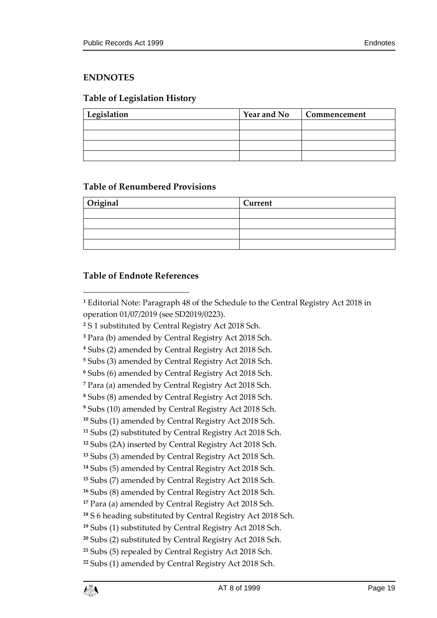#### <span id="page-18-0"></span>**ENDNOTES**

### <span id="page-18-1"></span>**Table of Legislation History**

| Legislation | <b>Year and No</b> | Commencement |
|-------------|--------------------|--------------|
|             |                    |              |
|             |                    |              |
|             |                    |              |
|             |                    |              |

#### <span id="page-18-2"></span>**Table of Renumbered Provisions**

| Original | Current |
|----------|---------|
|          |         |
|          |         |
|          |         |
|          |         |

#### <span id="page-18-3"></span>**Table of Endnote References**

 $\overline{a}$ 

 Editorial Note: Paragraph 48 of the Schedule to the Central Registry Act 2018 in operation 01/07/2019 (see SD2019/0223).

S 1 substituted by Central Registry Act 2018 Sch.

Para (b) amended by Central Registry Act 2018 Sch.

Subs (2) amended by Central Registry Act 2018 Sch.

Subs (3) amended by Central Registry Act 2018 Sch.

Subs (6) amended by Central Registry Act 2018 Sch.

Para (a) amended by Central Registry Act 2018 Sch.

Subs (8) amended by Central Registry Act 2018 Sch.

Subs (10) amended by Central Registry Act 2018 Sch.

Subs (1) amended by Central Registry Act 2018 Sch.

Subs (2) substituted by Central Registry Act 2018 Sch.

Subs (2A) inserted by Central Registry Act 2018 Sch.

Subs (3) amended by Central Registry Act 2018 Sch.

Subs (5) amended by Central Registry Act 2018 Sch.

Subs (7) amended by Central Registry Act 2018 Sch.

Subs (8) amended by Central Registry Act 2018 Sch.

Para (a) amended by Central Registry Act 2018 Sch.

S 6 heading substituted by Central Registry Act 2018 Sch.

Subs (1) substituted by Central Registry Act 2018 Sch.

Subs (2) substituted by Central Registry Act 2018 Sch.

Subs (5) repealed by Central Registry Act 2018 Sch.

Subs (1) amended by Central Registry Act 2018 Sch.